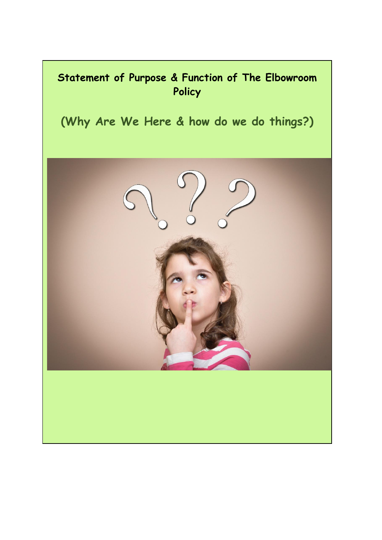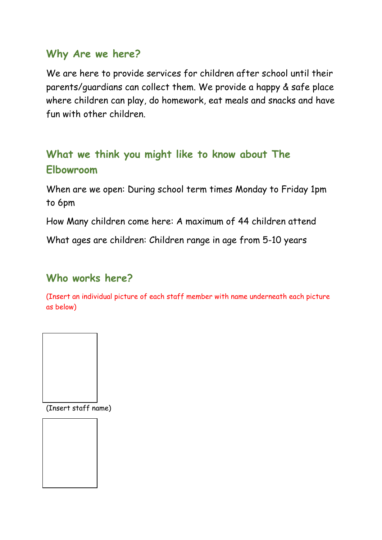### **Why Are we here?**

We are here to provide services for children after school until their parents/guardians can collect them. We provide a happy & safe place where children can play, do homework, eat meals and snacks and have fun with other children.

# **What we think you might like to know about The Elbowroom**

When are we open: During school term times Monday to Friday 1pm to 6pm

How Many children come here: A maximum of 44 children attend

What ages are children: Children range in age from 5-10 years

## **Who works here?**

(Insert an individual picture of each staff member with name underneath each picture as below)



(Insert staff name)

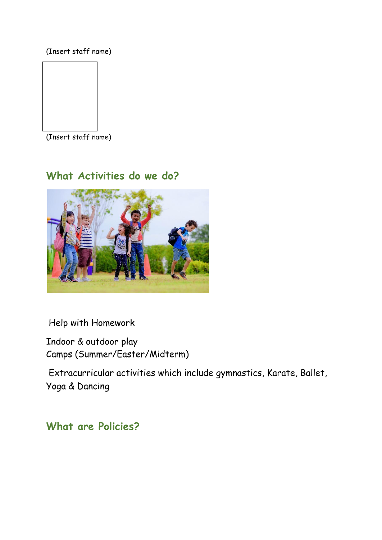(Insert staff name)



(Insert staff name)

## **What Activities do we do?**



Help with Homework

Indoor & outdoor play Camps (Summer/Easter/Midterm)

Extracurricular activities which include gymnastics, Karate, Ballet, Yoga & Dancing

### **What are Policies?**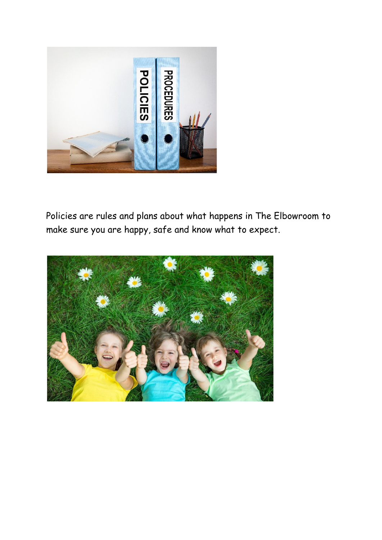

Policies are rules and plans about what happens in The Elbowroom to make sure you are happy, safe and know what to expect.